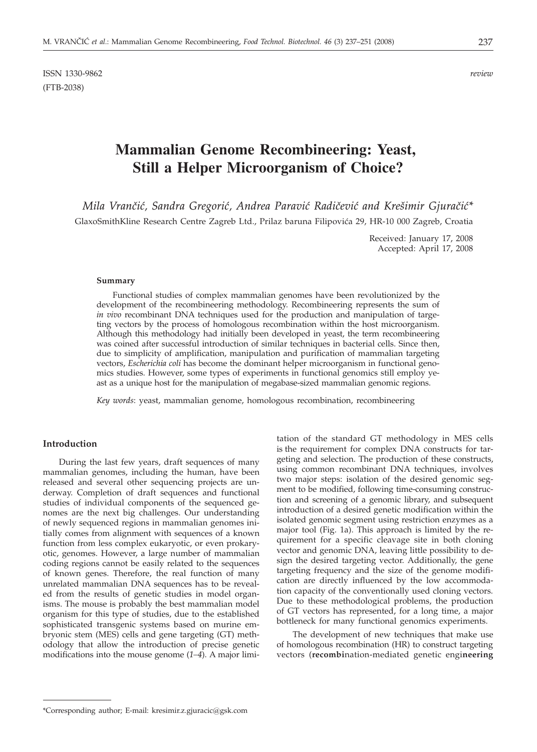ISSN 1330-9862 *review* (FTB-2038)

# **Mammalian Genome Recombineering: Yeast, Still a Helper Microorganism of Choice?**

*Mila Vran~i}, Sandra Gregori}, Andrea Paravi} Radi~evi} and Kre{imir Gjura~i}\** GlaxoSmithKline Research Centre Zagreb Ltd., Prilaz baruna Filipovića 29, HR-10 000 Zagreb, Croatia

> Received: January 17, 2008 Accepted: April 17, 2008

#### **Summary**

Functional studies of complex mammalian genomes have been revolutionized by the development of the recombineering methodology. Recombineering represents the sum of *in vivo* recombinant DNA techniques used for the production and manipulation of targeting vectors by the process of homologous recombination within the host microorganism. Although this methodology had initially been developed in yeast, the term recombineering was coined after successful introduction of similar techniques in bacterial cells. Since then, due to simplicity of amplification, manipulation and purification of mammalian targeting vectors, *Escherichia coli* has become the dominant helper microorganism in functional genomics studies. However, some types of experiments in functional genomics still employ yeast as a unique host for the manipulation of megabase-sized mammalian genomic regions.

*Key words*: yeast, mammalian genome, homologous recombination, recombineering

## **Introduction**

During the last few years, draft sequences of many mammalian genomes, including the human, have been released and several other sequencing projects are underway. Completion of draft sequences and functional studies of individual components of the sequenced genomes are the next big challenges. Our understanding of newly sequenced regions in mammalian genomes initially comes from alignment with sequences of a known function from less complex eukaryotic, or even prokaryotic, genomes. However, a large number of mammalian coding regions cannot be easily related to the sequences of known genes. Therefore, the real function of many unrelated mammalian DNA sequences has to be revealed from the results of genetic studies in model organisms. The mouse is probably the best mammalian model organism for this type of studies, due to the established sophisticated transgenic systems based on murine embryonic stem (MES) cells and gene targeting (GT) methodology that allow the introduction of precise genetic modifications into the mouse genome (*1–4*). A major limitation of the standard GT methodology in MES cells is the requirement for complex DNA constructs for targeting and selection. The production of these constructs, using common recombinant DNA techniques, involves two major steps: isolation of the desired genomic segment to be modified, following time-consuming construction and screening of a genomic library, and subsequent introduction of a desired genetic modification within the isolated genomic segment using restriction enzymes as a major tool (Fig. 1a). This approach is limited by the requirement for a specific cleavage site in both cloning vector and genomic DNA, leaving little possibility to design the desired targeting vector. Additionally, the gene targeting frequency and the size of the genome modification are directly influenced by the low accommodation capacity of the conventionally used cloning vectors. Due to these methodological problems, the production of GT vectors has represented, for a long time, a major bottleneck for many functional genomics experiments.

The development of new techniques that make use of homologous recombination (HR) to construct targeting vectors (**recombi**nation-mediated genetic engi**neering**

<sup>\*</sup>Corresponding author; E-mail: kresimir.z.gjuracic@gsk.com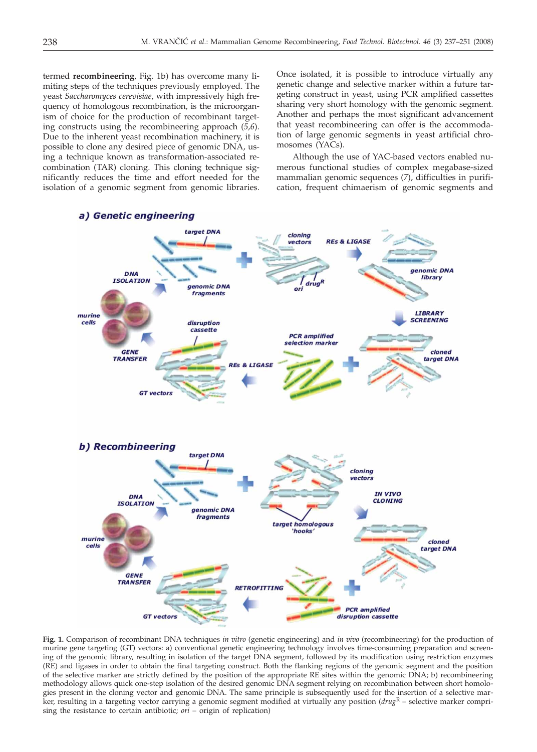termed **recombineering**, Fig. 1b) has overcome many limiting steps of the techniques previously employed. The yeast *Saccharomyces cerevisiae*, with impressively high frequency of homologous recombination, is the microorganism of choice for the production of recombinant targeting constructs using the recombineering approach (*5,6*). Due to the inherent yeast recombination machinery, it is possible to clone any desired piece of genomic DNA, using a technique known as transformation-associated recombination (TAR) cloning. This cloning technique significantly reduces the time and effort needed for the isolation of a genomic segment from genomic libraries.

Once isolated, it is possible to introduce virtually any genetic change and selective marker within a future targeting construct in yeast, using PCR amplified cassettes sharing very short homology with the genomic segment. Another and perhaps the most significant advancement that yeast recombineering can offer is the accommodation of large genomic segments in yeast artificial chromosomes (YACs).

Although the use of YAC-based vectors enabled numerous functional studies of complex megabase-sized mammalian genomic sequences (*7*), difficulties in purification, frequent chimaerism of genomic segments and



**Fig. 1.** Comparison of recombinant DNA techniques *in vitro* (genetic engineering) and *in vivo* (recombineering) for the production of murine gene targeting (GT) vectors: a) conventional genetic engineering technology involves time-consuming preparation and screening of the genomic library, resulting in isolation of the target DNA segment, followed by its modification using restriction enzymes (RE) and ligases in order to obtain the final targeting construct. Both the flanking regions of the genomic segment and the position of the selective marker are strictly defined by the position of the appropriate RE sites within the genomic DNA; b) recombineering methodology allows quick one-step isolation of the desired genomic DNA segment relying on recombination between short homologies present in the cloning vector and genomic DNA. The same principle is subsequently used for the insertion of a selective marker, resulting in a targeting vector carrying a genomic segment modified at virtually any position (*drug*<sup>R</sup> – selective marker comprising the resistance to certain antibiotic; *ori* – origin of replication)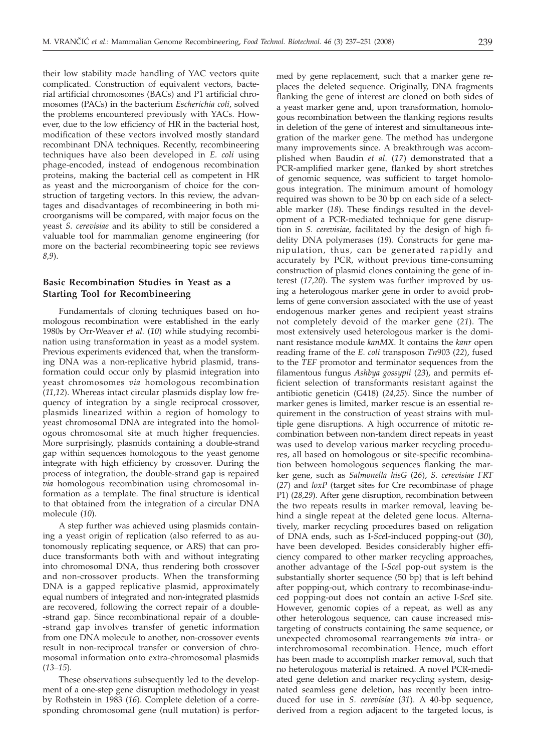their low stability made handling of YAC vectors quite complicated. Construction of equivalent vectors, bacterial artificial chromosomes (BACs) and P1 artificial chromosomes (PACs) in the bacterium *Escherichia coli*, solved the problems encountered previously with YACs. However, due to the low efficiency of HR in the bacterial host, modification of these vectors involved mostly standard recombinant DNA techniques. Recently, recombineering techniques have also been developed in *E. coli* using phage-encoded, instead of endogenous recombination proteins, making the bacterial cell as competent in HR as yeast and the microorganism of choice for the construction of targeting vectors. In this review, the advantages and disadvantages of recombineering in both microorganisms will be compared, with major focus on the yeast *S. cerevisiae* and its ability to still be considered a valuable tool for mammalian genome engineering (for more on the bacterial recombineering topic see reviews *8,9*).

# **Basic Recombination Studies in Yeast as a Starting Tool for Recombineering**

Fundamentals of cloning techniques based on homologous recombination were established in the early 1980s by Orr-Weaver *et al.* (*10*) while studying recombination using transformation in yeast as a model system. Previous experiments evidenced that, when the transforming DNA was a non-replicative hybrid plasmid, transformation could occur only by plasmid integration into yeast chromosomes *via* homologous recombination (*11,12*). Whereas intact circular plasmids display low frequency of integration by a single reciprocal crossover, plasmids linearized within a region of homology to yeast chromosomal DNA are integrated into the homologous chromosomal site at much higher frequencies. More surprisingly, plasmids containing a double-strand gap within sequences homologous to the yeast genome integrate with high efficiency by crossover. During the process of integration, the double-strand gap is repaired *via* homologous recombination using chromosomal information as a template. The final structure is identical to that obtained from the integration of a circular DNA molecule (*10*).

A step further was achieved using plasmids containing a yeast origin of replication (also referred to as autonomously replicating sequence, or ARS) that can produce transformants both with and without integrating into chromosomal DNA, thus rendering both crossover and non-crossover products. When the transforming DNA is a gapped replicative plasmid, approximately equal numbers of integrated and non-integrated plasmids are recovered, following the correct repair of a double- -strand gap. Since recombinational repair of a double- -strand gap involves transfer of genetic information from one DNA molecule to another, non-crossover events result in non-reciprocal transfer or conversion of chromosomal information onto extra-chromosomal plasmids (*13–15*).

These observations subsequently led to the development of a one-step gene disruption methodology in yeast by Rothstein in 1983 (*16*). Complete deletion of a corresponding chromosomal gene (null mutation) is performed by gene replacement, such that a marker gene replaces the deleted sequence. Originally, DNA fragments flanking the gene of interest are cloned on both sides of a yeast marker gene and, upon transformation, homologous recombination between the flanking regions results in deletion of the gene of interest and simultaneous integration of the marker gene. The method has undergone many improvements since. A breakthrough was accomplished when Baudin *et al.* (*17*) demonstrated that a PCR-amplified marker gene, flanked by short stretches of genomic sequence, was sufficient to target homologous integration. The minimum amount of homology required was shown to be 30 bp on each side of a selectable marker (*18*). These findings resulted in the development of a PCR-mediated technique for gene disruption in *S. cerevisiae,* facilitated by the design of high fidelity DNA polymerases (*19*)*.* Constructs for gene manipulation, thus, can be generated rapidly and accurately by PCR, without previous time-consuming construction of plasmid clones containing the gene of interest (*17,20*). The system was further improved by using a heterologous marker gene in order to avoid problems of gene conversion associated with the use of yeast endogenous marker genes and recipient yeast strains not completely devoid of the marker gene (*21*). The most extensively used heterologous marker is the dominant resistance module *kanMX*. It contains the *kanr* open reading frame of the *E. coli* transposon *Tn*903 (*22*), fused to the *TEF* promotor and terminator sequences from the filamentous fungus *Ashbya gossypii* (*23*), and permits efficient selection of transformants resistant against the antibiotic geneticin (G418) (*24,25*). Since the number of marker genes is limited, marker rescue is an essential requirement in the construction of yeast strains with multiple gene disruptions. A high occurrence of mitotic recombination between non-tandem direct repeats in yeast was used to develop various marker recycling procedures, all based on homologous or site-specific recombination between homologous sequences flanking the marker gene, such as *Salmonella hisG* (*26*), *S. cerevisiae FRT* (*27*) and *loxP* (target sites for Cre recombinase of phage P1) (*28,29*). After gene disruption, recombination between the two repeats results in marker removal, leaving behind a single repeat at the deleted gene locus. Alternatively, marker recycling procedures based on religation of DNA ends, such as I-*Sce*I-induced popping-out (*30*), have been developed. Besides considerably higher efficiency compared to other marker recycling approaches, another advantage of the I-*Sce*I pop-out system is the substantially shorter sequence (50 bp) that is left behind after popping-out, which contrary to recombinase-induced popping-out does not contain an active I-*Sce*I site. However, genomic copies of a repeat, as well as any other heterologous sequence, can cause increased mistargeting of constructs containing the same sequence, or unexpected chromosomal rearrangements *via* intra- or interchromosomal recombination. Hence, much effort has been made to accomplish marker removal, such that no heterologous material is retained. A novel PCR-mediated gene deletion and marker recycling system, designated seamless gene deletion, has recently been introduced for use in *S. cerevisiae* (*31*). A 40-bp sequence, derived from a region adjacent to the targeted locus, is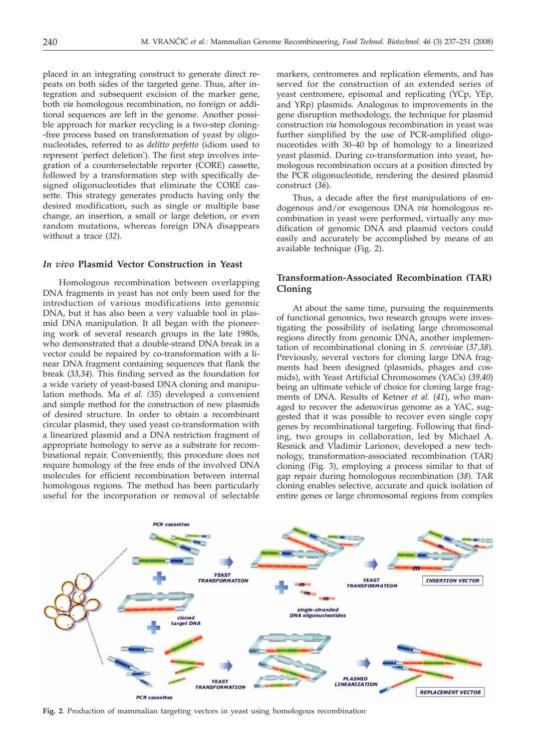placed in an integrating construct to generate direct repeats on both sides of the targeted gene. Thus, after integration and subsequent excision of the marker gene, both *via* homologous recombination, no foreign or additional sequences are left in the genome. Another possible approach for marker recycling is a two-step cloning- -free process based on transformation of yeast by oligonucleotides, referred to as *delitto perfetto* (idiom used to represent 'perfect deletion'). The first step involves integration of a counterselectable reporter (CORE) cassette, followed by a transformation step with specifically designed oligonucleotides that eliminate the CORE cassette. This strategy generates products having only the desired modification, such as single or multiple base change, an insertion, a small or large deletion, or even random mutations, whereas foreign DNA disappears without a trace (*32*).

## *In vivo* **Plasmid Vector Construction in Yeast**

Homologous recombination between overlapping DNA fragments in yeast has not only been used for the introduction of various modifications into genomic DNA, but it has also been a very valuable tool in plasmid DNA manipulation. It all began with the pioneering work of several research groups in the late 1980s, who demonstrated that a double-strand DNA break in a vector could be repaired by co-transformation with a linear DNA fragment containing sequences that flank the break (*33,34*). This finding served as the foundation for a wide variety of yeast-based DNA cloning and manipulation methods. Ma *et al. (35*) developed a convenient and simple method for the construction of new plasmids of desired structure. In order to obtain a recombinant circular plasmid, they used yeast co-transformation with a linearized plasmid and a DNA restriction fragment of appropriate homology to serve as a substrate for recombinational repair. Conveniently, this procedure does not require homology of the free ends of the involved DNA molecules for efficient recombination between internal homologous regions. The method has been particularly useful for the incorporation or removal of selectable markers, centromeres and replication elements, and has served for the construction of an extended series of yeast centromere, episomal and replicating (YCp, YEp, and YRp) plasmids. Analogous to improvements in the gene disruption methodology, the technique for plasmid construction *via* homologous recombination in yeast was further simplified by the use of PCR-amplified oligonuceotides with 30–40 bp of homology to a linearized yeast plasmid. During co-transformation into yeast, homologous recombination occurs at a position directed by the PCR oligonucleotide, rendering the desired plasmid construct (*36*).

Thus, a decade after the first manipulations of endogenous and/or exogenous DNA *via* homologous recombination in yeast were performed, virtually any modification of genomic DNA and plasmid vectors could easily and accurately be accomplished by means of an available technique (Fig. 2).

# **Transformation-Associated Recombination (TAR) Cloning**

At about the same time, pursuing the requirements of functional genomics, two research groups were investigating the possibility of isolating large chromosomal regions directly from genomic DNA, another implementation of recombinational cloning in *S. cerevisiae* (*37,38*). Previously, several vectors for cloning large DNA fragments had been designed (plasmids, phages and cosmids), with Yeast Artificial Chromosomes (YACs) (*39,40*) being an ultimate vehicle of choice for cloning large fragments of DNA. Results of Ketner *et al.* (*41*), who managed to recover the adenovirus genome as a YAC, suggested that it was possible to recover even single copy genes by recombinational targeting. Following that finding, two groups in collaboration, led by Michael A. Resnick and Vladimir Larionov, developed a new technology, transformation-associated recombination (TAR) cloning (Fig. 3), employing a process similar to that of gap repair during homologous recombination (*38*). TAR cloning enables selective, accurate and quick isolation of entire genes or large chromosomal regions from complex



**Fig. 2**. Production of mammalian targeting vectors in yeast using homologous recombination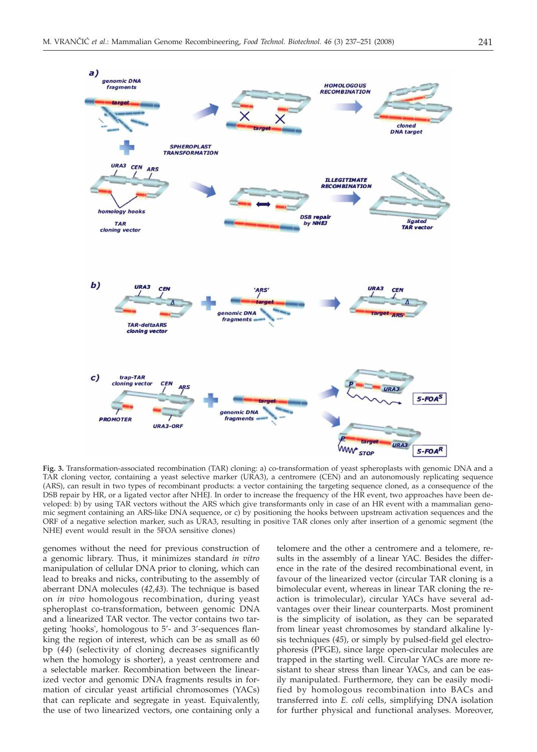

**Fig. 3.** Transformation-associated recombination (TAR) cloning: a) co-transformation of yeast spheroplasts with genomic DNA and a TAR cloning vector, containing a yeast selective marker (URA3), a centromere (CEN) and an autonomously replicating sequence (ARS), can result in two types of recombinant products: a vector containing the targeting sequence cloned, as a consequence of the DSB repair by HR, or a ligated vector after NHEJ. In order to increase the frequency of the HR event, two approaches have been developed: b) by using TAR vectors without the ARS which give transformants only in case of an HR event with a mammalian genomic segment containing an ARS-like DNA sequence, or c) by positioning the hooks between upstream activation sequences and the ORF of a negative selection marker, such as URA3, resulting in positive TAR clones only after insertion of a genomic segment (the NHEJ event would result in the 5FOA sensitive clones)

genomes without the need for previous construction of a genomic library. Thus, it minimizes standard *in vitro* manipulation of cellular DNA prior to cloning, which can lead to breaks and nicks, contributing to the assembly of aberrant DNA molecules (*42,43*). The technique is based on *in vivo* homologous recombination, during yeast spheroplast co-transformation, between genomic DNA and a linearized TAR vector. The vector contains two targeting 'hooks', homologous to 5'- and 3'-sequences flanking the region of interest, which can be as small as 60 bp (*44*) (selectivity of cloning decreases significantly when the homology is shorter), a yeast centromere and a selectable marker. Recombination between the linearized vector and genomic DNA fragments results in formation of circular yeast artificial chromosomes (YACs) that can replicate and segregate in yeast. Equivalently, the use of two linearized vectors, one containing only a

telomere and the other a centromere and a telomere, results in the assembly of a linear YAC. Besides the difference in the rate of the desired recombinational event, in favour of the linearized vector (circular TAR cloning is a bimolecular event, whereas in linear TAR cloning the reaction is trimolecular), circular YACs have several advantages over their linear counterparts. Most prominent is the simplicity of isolation, as they can be separated from linear yeast chromosomes by standard alkaline lysis techniques (*45*), or simply by pulsed-field gel electrophoresis (PFGE), since large open-circular molecules are trapped in the starting well. Circular YACs are more resistant to shear stress than linear YACs, and can be easily manipulated. Furthermore, they can be easily modified by homologous recombination into BACs and transferred into *E. coli* cells, simplifying DNA isolation for further physical and functional analyses. Moreover,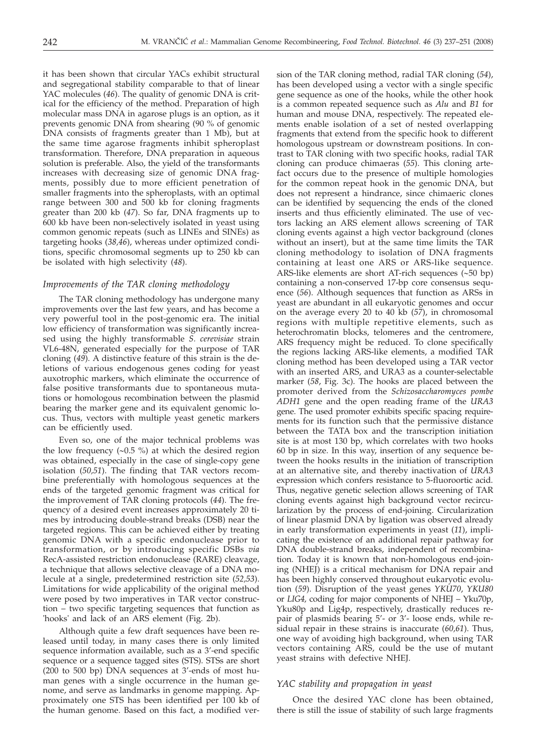it has been shown that circular YACs exhibit structural and segregational stability comparable to that of linear YAC molecules (*46*). The quality of genomic DNA is critical for the efficiency of the method. Preparation of high molecular mass DNA in agarose plugs is an option, as it prevents genomic DNA from shearing (90 % of genomic DNA consists of fragments greater than 1 Mb), but at the same time agarose fragments inhibit spheroplast transformation. Therefore, DNA preparation in aqueous solution is preferable. Also, the yield of the transformants increases with decreasing size of genomic DNA fragments, possibly due to more efficient penetration of smaller fragments into the spheroplasts, with an optimal range between 300 and 500 kb for cloning fragments greater than 200 kb (*47*). So far, DNA fragments up to 600 kb have been non-selectively isolated in yeast using common genomic repeats (such as LINEs and SINEs) as targeting hooks (*38,46*), whereas under optimized conditions, specific chromosomal segments up to 250 kb can be isolated with high selectivity (*48*).

### *Improvements of the TAR cloning methodology*

The TAR cloning methodology has undergone many improvements over the last few years, and has become a very powerful tool in the post-genomic era. The initial low efficiency of transformation was significantly increased using the highly transformable *S. cerevisiae* strain VL6-48N, generated especially for the purpose of TAR cloning (*49*). A distinctive feature of this strain is the deletions of various endogenous genes coding for yeast auxotrophic markers, which eliminate the occurrence of false positive transformants due to spontaneous mutations or homologous recombination between the plasmid bearing the marker gene and its equivalent genomic locus. Thus, vectors with multiple yeast genetic markers can be efficiently used.

Even so, one of the major technical problems was the low frequency  $(\sim 0.5 \%)$  at which the desired region was obtained, especially in the case of single-copy gene isolation (*50,51*). The finding that TAR vectors recombine preferentially with homologous sequences at the ends of the targeted genomic fragment was critical for the improvement of TAR cloning protocols (*44*). The frequency of a desired event increases approximately 20 times by introducing double-strand breaks (DSB) near the targeted regions. This can be achieved either by treating genomic DNA with a specific endonuclease prior to transformation, or by introducing specific DSBs *via* RecA-assisted restriction endonuclease (RARE) cleavage, a technique that allows selective cleavage of a DNA molecule at a single, predetermined restriction site (*52,53*). Limitations for wide applicability of the original method were posed by two imperatives in TAR vector construction – two specific targeting sequences that function as 'hooks' and lack of an ARS element (Fig. 2b).

Although quite a few draft sequences have been released until today, in many cases there is only limited sequence information available, such as a 3'-end specific sequence or a sequence tagged sites (STS). STSs are short (200 to 500 bp) DNA sequences at 3'-ends of most human genes with a single occurrence in the human genome, and serve as landmarks in genome mapping. Approximately one STS has been identified per 100 kb of the human genome. Based on this fact, a modified ver-

sion of the TAR cloning method, radial TAR cloning (*54*), has been developed using a vector with a single specific gene sequence as one of the hooks, while the other hook is a common repeated sequence such as *Alu* and *B1* for human and mouse DNA, respectively. The repeated elements enable isolation of a set of nested overlapping fragments that extend from the specific hook to different homologous upstream or downstream positions. In contrast to TAR cloning with two specific hooks, radial TAR cloning can produce chimaeras (*55*). This cloning artefact occurs due to the presence of multiple homologies for the common repeat hook in the genomic DNA, but does not represent a hindrance, since chimaeric clones can be identified by sequencing the ends of the cloned inserts and thus efficiently eliminated. The use of vectors lacking an ARS element allows screening of TAR cloning events against a high vector background (clones without an insert), but at the same time limits the TAR cloning methodology to isolation of DNA fragments containing at least one ARS or ARS-like sequence. ARS-like elements are short AT-rich sequences (~50 bp) containing a non-conserved 17-bp core consensus sequence (*56*). Although sequences that function as ARSs in yeast are abundant in all eukaryotic genomes and occur on the average every 20 to 40 kb (*57*), in chromosomal regions with multiple repetitive elements, such as heterochromatin blocks, telomeres and the centromere, ARS frequency might be reduced. To clone specifically the regions lacking ARS-like elements, a modified TAR cloning method has been developed using a TAR vector with an inserted ARS, and URA3 as a counter-selectable marker (*58*, Fig. 3c). The hooks are placed between the promoter derived from the *Schizosaccharomyces pombe ADH1* gene and the open reading frame of the *URA3* gene. The used promoter exhibits specific spacing requirements for its function such that the permissive distance between the TATA box and the transcription initiation site is at most 130 bp, which correlates with two hooks 60 bp in size. In this way, insertion of any sequence between the hooks results in the initiation of transcription at an alternative site, and thereby inactivation of *URA3* expression which confers resistance to 5-fluoroortic acid. Thus, negative genetic selection allows screening of TAR cloning events against high background vector recircularization by the process of end-joining. Circularization of linear plasmid DNA by ligation was observed already in early transformation experiments in yeast (*11*), implicating the existence of an additional repair pathway for DNA double-strand breaks, independent of recombination. Today it is known that non-homologous end-joining (NHEJ) is a critical mechanism for DNA repair and has been highly conserved throughout eukaryotic evolution (*59*). Disruption of the yeast genes *YKU70*, *YKU80* or *LIG4,* coding for major components of NHEJ – Yku70p, Yku80p and Lig4p, respectively, drastically reduces repair of plasmids bearing 5'- or 3'- loose ends, while residual repair in these strains is inaccurate (*60,61*). Thus, one way of avoiding high background, when using TAR vectors containing ARS, could be the use of mutant yeast strains with defective NHEJ.

### *YAC stability and propagation in yeast*

Once the desired YAC clone has been obtained, there is still the issue of stability of such large fragments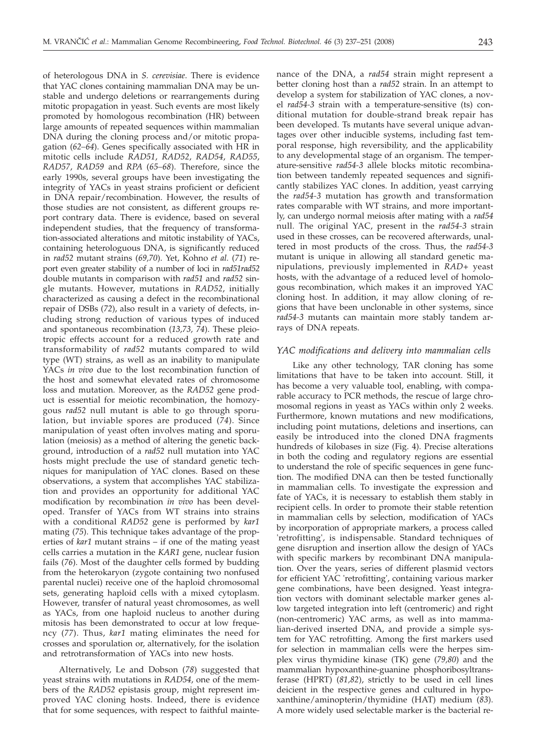of heterologous DNA in *S. cerevisiae*. There is evidence that YAC clones containing mammalian DNA may be unstable and undergo deletions or rearrangements during mitotic propagation in yeast. Such events are most likely promoted by homologous recombination (HR) between large amounts of repeated sequences within mammalian DNA during the cloning process and/or mitotic propagation (*62–64*). Genes specifically associated with HR in mitotic cells include *RAD51*, *RAD52*, *RAD54*, *RAD55*, *RAD57*, *RAD59* and *RPA* (*65–68*). Therefore, since the early 1990s, several groups have been investigating the integrity of YACs in yeast strains proficient or deficient in DNA repair/recombination. However, the results of those studies are not consistent, as different groups report contrary data. There is evidence, based on several independent studies, that the frequency of transformation-associated alterations and mitotic instability of YACs, containing heterologuous DNA, is significantly reduced in *rad52* mutant strains (*69,70*). Yet, Kohno *et al.* (*71*) report even greater stability of a number of loci in *rad51rad52* double mutants in comparison with *rad51* and *rad52* single mutants. However, mutations in *RAD52*, initially characterized as causing a defect in the recombinational repair of DSBs (*72*), also result in a variety of defects, including strong reduction of various types of induced and spontaneous recombination (*13,73, 74*). These pleiotropic effects account for a reduced growth rate and transformability of *rad52* mutants compared to wild type (WT) strains, as well as an inability to manipulate YACs *in vivo* due to the lost recombination function of the host and somewhat elevated rates of chromosome loss and mutation. Moreover, as the *RAD52* gene product is essential for meiotic recombination, the homozygous *rad52* null mutant is able to go through sporulation, but inviable spores are produced (*74*). Since manipulation of yeast often involves mating and sporulation (meiosis) as a method of altering the genetic background, introduction of a *rad52* null mutation into YAC hosts might preclude the use of standard genetic techniques for manipulation of YAC clones. Based on these observations, a system that accomplishes YAC stabilization and provides an opportunity for additional YAC modification by recombination *in vivo* has been developed. Transfer of YACs from WT strains into strains with a conditional *RAD52* gene is performed by *kar1* mating (*75*). This technique takes advantage of the properties of *kar1* mutant strains – if one of the mating yeast cells carries a mutation in the *KAR1* gene, nuclear fusion fails (*76*). Most of the daughter cells formed by budding from the heterokaryon (zygote containing two nonfused parental nuclei) receive one of the haploid chromosomal sets, generating haploid cells with a mixed cytoplasm. However, transfer of natural yeast chromosomes, as well as YACs, from one haploid nucleus to another during mitosis has been demonstrated to occur at low frequency (*77*). Thus, *kar1* mating eliminates the need for crosses and sporulation or, alternatively, for the isolation and retrotransformation of YACs into new hosts.

Alternatively, Le and Dobson (*78*) suggested that yeast strains with mutations in *RAD54*, one of the members of the *RAD52* epistasis group, might represent improved YAC cloning hosts. Indeed, there is evidence that for some sequences, with respect to faithful maintenance of the DNA, a *rad54* strain might represent a better cloning host than a *rad52* strain. In an attempt to develop a system for stabilization of YAC clones, a novel *rad54-3* strain with a temperature-sensitive (ts) conditional mutation for double-strand break repair has been developed. Ts mutants have several unique advantages over other inducible systems, including fast temporal response, high reversibility, and the applicability to any developmental stage of an organism. The temperature-sensitive *rad54-3* allele blocks mitotic recombination between tandemly repeated sequences and significantly stabilizes YAC clones. In addition, yeast carrying the *rad54-3* mutation has growth and transformation rates comparable with WT strains, and more importantly, can undergo normal meiosis after mating with a *rad54* null. The original YAC, present in the *rad54-3* strain used in these crosses, can be recovered afterwards, unaltered in most products of the cross. Thus, the *rad54-3* mutant is unique in allowing all standard genetic manipulations, previously implemented in *RAD+* yeast hosts, with the advantage of a reduced level of homologous recombination, which makes it an improved YAC cloning host. In addition, it may allow cloning of regions that have been unclonable in other systems, since *rad54-3* mutants can maintain more stably tandem arrays of DNA repeats.

### *YAC modifications and delivery into mammalian cells*

Like any other technology, TAR cloning has some limitations that have to be taken into account. Still, it has become a very valuable tool, enabling, with comparable accuracy to PCR methods, the rescue of large chromosomal regions in yeast as YACs within only 2 weeks. Furthermore, known mutations and new modifications, including point mutations, deletions and insertions, can easily be introduced into the cloned DNA fragments hundreds of kilobases in size (Fig. 4). Precise alterations in both the coding and regulatory regions are essential to understand the role of specific sequences in gene function. The modified DNA can then be tested functionally in mammalian cells. To investigate the expression and fate of YACs, it is necessary to establish them stably in recipient cells. In order to promote their stable retention in mammalian cells by selection, modification of YACs by incorporation of appropriate markers, a process called 'retrofitting', is indispensable. Standard techniques of gene disruption and insertion allow the design of YACs with specific markers by recombinant DNA manipulation. Over the years, series of different plasmid vectors for efficient YAC 'retrofitting', containing various marker gene combinations, have been designed. Yeast integration vectors with dominant selectable marker genes allow targeted integration into left (centromeric) and right (non-centromeric) YAC arms, as well as into mammalian-derived inserted DNA, and provide a simple system for YAC retrofitting. Among the first markers used for selection in mammalian cells were the herpes simplex virus thymidine kinase (TK) gene (*79,80*) and the mammalian hypoxanthine-guanine phosphoribosyltransferase (HPRT) (*81,82*), strictly to be used in cell lines deicient in the respective genes and cultured in hypoxanthine/aminopterin/thymidine (HAT) medium (*83*). A more widely used selectable marker is the bacterial re-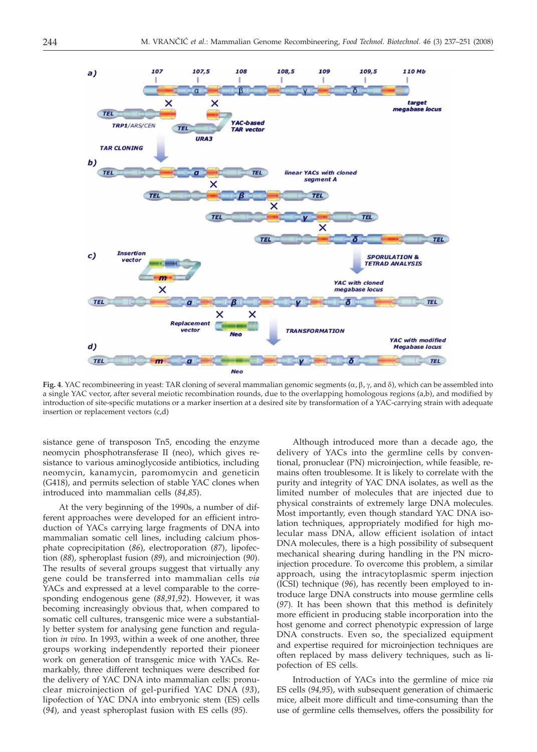

**Fig. 4**. YAC recombineering in yeast: TAR cloning of several mammalian genomic segments  $(\alpha, \beta, \gamma,$  and  $\delta)$ , which can be assembled into a single YAC vector, after several meiotic recombination rounds, due to the overlapping homologous regions (a,b), and modified by introduction of site-specific mutations or a marker insertion at a desired site by transformation of a YAC-carrying strain with adequate insertion or replacement vectors (c,d)

sistance gene of transposon Tn5, encoding the enzyme neomycin phosphotransferase II (neo), which gives resistance to various aminoglycoside antibiotics, including neomycin, kanamycin, paromomycin and geneticin (G418), and permits selection of stable YAC clones when introduced into mammalian cells (*84,85*).

At the very beginning of the 1990s, a number of different approaches were developed for an efficient introduction of YACs carrying large fragments of DNA into mammalian somatic cell lines, including calcium phosphate coprecipitation (*86*), electroporation (*87*), lipofection (*88*), spheroplast fusion (*89*), and microinjection (*90*). The results of several groups suggest that virtually any gene could be transferred into mammalian cells *via* YACs and expressed at a level comparable to the corresponding endogenous gene (*88,91,92*). However, it was becoming increasingly obvious that, when compared to somatic cell cultures, transgenic mice were a substantially better system for analysing gene function and regulation *in vivo*. In 1993, within a week of one another, three groups working independently reported their pioneer work on generation of transgenic mice with YACs. Remarkably, three different techniques were described for the delivery of YAC DNA into mammalian cells: pronuclear microinjection of gel-purified YAC DNA (*93*), lipofection of YAC DNA into embryonic stem (ES) cells (*94*), and yeast spheroplast fusion with ES cells (*95*).

Although introduced more than a decade ago, the delivery of YACs into the germline cells by conventional, pronuclear (PN) microinjection, while feasible, remains often troublesome. It is likely to correlate with the purity and integrity of YAC DNA isolates, as well as the limited number of molecules that are injected due to physical constraints of extremely large DNA molecules. Most importantly, even though standard YAC DNA isolation techniques, appropriately modified for high molecular mass DNA, allow efficient isolation of intact DNA molecules, there is a high possibility of subsequent mechanical shearing during handling in the PN microinjection procedure. To overcome this problem, a similar approach, using the intracytoplasmic sperm injection (ICSI) technique (*96*), has recently been employed to introduce large DNA constructs into mouse germline cells (*97*). It has been shown that this method is definitely more efficient in producing stable incorporation into the host genome and correct phenotypic expression of large DNA constructs. Even so, the specialized equipment and expertise required for microinjection techniques are often replaced by mass delivery techniques, such as lipofection of ES cells.

Introduction of YACs into the germline of mice *via* ES cells (*94,95*), with subsequent generation of chimaeric mice, albeit more difficult and time-consuming than the use of germline cells themselves, offers the possibility for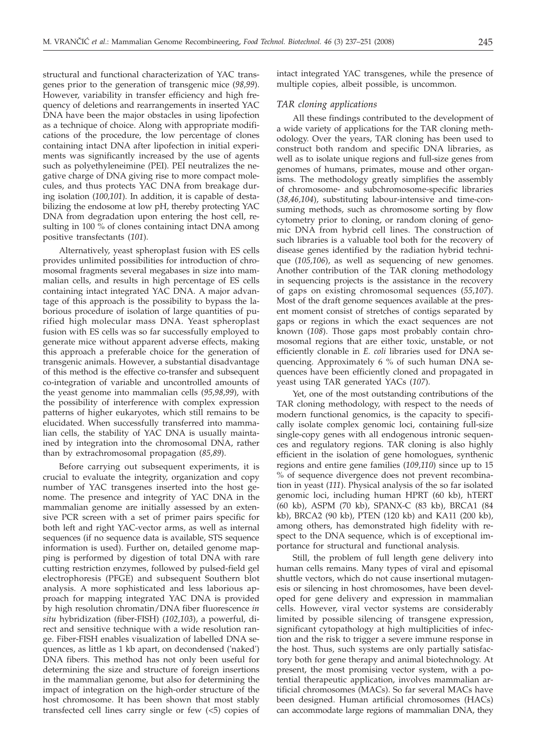structural and functional characterization of YAC transgenes prior to the generation of transgenic mice (*98,99*). However, variability in transfer efficiency and high frequency of deletions and rearrangements in inserted YAC DNA have been the major obstacles in using lipofection as a technique of choice. Along with appropriate modifications of the procedure, the low percentage of clones containing intact DNA after lipofection in initial experiments was significantly increased by the use of agents such as polyethyleneimine (PEI). PEI neutralizes the negative charge of DNA giving rise to more compact molecules, and thus protects YAC DNA from breakage during isolation (*100,101*). In addition, it is capable of destabilizing the endosome at low pH, thereby protecting YAC DNA from degradation upon entering the host cell, resulting in 100 % of clones containing intact DNA among positive transfectants (*101*).

Alternatively, yeast spheroplast fusion with ES cells provides unlimited possibilities for introduction of chromosomal fragments several megabases in size into mammalian cells, and results in high percentage of ES cells containing intact integrated YAC DNA. A major advantage of this approach is the possibility to bypass the laborious procedure of isolation of large quantities of purified high molecular mass DNA. Yeast spheroplast fusion with ES cells was so far successfully employed to generate mice without apparent adverse effects, making this approach a preferable choice for the generation of transgenic animals. However, a substantial disadvantage of this method is the effective co-transfer and subsequent co-integration of variable and uncontrolled amounts of the yeast genome into mammalian cells (*95,98,99*), with the possibility of interference with complex expression patterns of higher eukaryotes, which still remains to be elucidated. When successfully transferred into mammalian cells, the stability of YAC DNA is usually maintained by integration into the chromosomal DNA, rather than by extrachromosomal propagation (*85,89*).

Before carrying out subsequent experiments, it is crucial to evaluate the integrity, organization and copy number of YAC transgenes inserted into the host genome. The presence and integrity of YAC DNA in the mammalian genome are initially assessed by an extensive PCR screen with a set of primer pairs specific for both left and right YAC-vector arms, as well as internal sequences (if no sequence data is available, STS sequence information is used). Further on, detailed genome mapping is performed by digestion of total DNA with rare cutting restriction enzymes, followed by pulsed-field gel electrophoresis (PFGE) and subsequent Southern blot analysis. A more sophisticated and less laborious approach for mapping integrated YAC DNA is provided by high resolution chromatin/DNA fiber fluorescence *in situ* hybridization (fiber-FISH) (*102,103*), a powerful, direct and sensitive technique with a wide resolution range. Fiber-FISH enables visualization of labelled DNA sequences, as little as 1 kb apart, on decondensed ('naked') DNA fibers. This method has not only been useful for determining the size and structure of foreign insertions in the mammalian genome, but also for determining the impact of integration on the high-order structure of the host chromosome. It has been shown that most stably transfected cell lines carry single or few  $\left\langle \langle 5 \rangle \right\rangle$  copies of

intact integrated YAC transgenes, while the presence of multiple copies, albeit possible, is uncommon.

#### *TAR cloning applications*

All these findings contributed to the development of a wide variety of applications for the TAR cloning methodology. Over the years, TAR cloning has been used to construct both random and specific DNA libraries, as well as to isolate unique regions and full-size genes from genomes of humans, primates, mouse and other organisms. The methodology greatly simplifies the assembly of chromosome- and subchromosome-specific libraries (*38,46,104*), substituting labour-intensive and time-consuming methods, such as chromosome sorting by flow cytometry prior to cloning, or random cloning of genomic DNA from hybrid cell lines. The construction of such libraries is a valuable tool both for the recovery of disease genes identified by the radiation hybrid technique (*105,106*), as well as sequencing of new genomes. Another contribution of the TAR cloning methodology in sequencing projects is the assistance in the recovery of gaps on existing chromosomal sequences (*55,107*). Most of the draft genome sequences available at the present moment consist of stretches of contigs separated by gaps or regions in which the exact sequences are not known (*108*). Those gaps most probably contain chromosomal regions that are either toxic, unstable, or not efficiently clonable in *E. coli* libraries used for DNA sequencing. Approximately 6 % of such human DNA sequences have been efficiently cloned and propagated in yeast using TAR generated YACs (*107*).

Yet, one of the most outstanding contributions of the TAR cloning methodology, with respect to the needs of modern functional genomics, is the capacity to specifically isolate complex genomic loci, containing full-size single-copy genes with all endogenous intronic sequences and regulatory regions. TAR cloning is also highly efficient in the isolation of gene homologues, synthenic regions and entire gene families (*109,110*) since up to 15 % of sequence divergence does not prevent recombination in yeast (*111*). Physical analysis of the so far isolated genomic loci, including human HPRT (60 kb), hTERT (60 kb), ASPM (70 kb), SPANX-C (83 kb), BRCA1 (84 kb), BRCA2 (90 kb), PTEN (120 kb) and KA11 (200 kb), among others, has demonstrated high fidelity with respect to the DNA sequence, which is of exceptional importance for structural and functional analysis.

Still, the problem of full length gene delivery into human cells remains. Many types of viral and episomal shuttle vectors, which do not cause insertional mutagenesis or silencing in host chromosomes, have been developed for gene delivery and expression in mammalian cells. However, viral vector systems are considerably limited by possible silencing of transgene expression, significant cytopathology at high multiplicities of infection and the risk to trigger a severe immune response in the host. Thus, such systems are only partially satisfactory both for gene therapy and animal biotechnology. At present, the most promising vector system, with a potential therapeutic application, involves mammalian artificial chromosomes (MACs). So far several MACs have been designed. Human artificial chromosomes (HACs) can accommodate large regions of mammalian DNA, they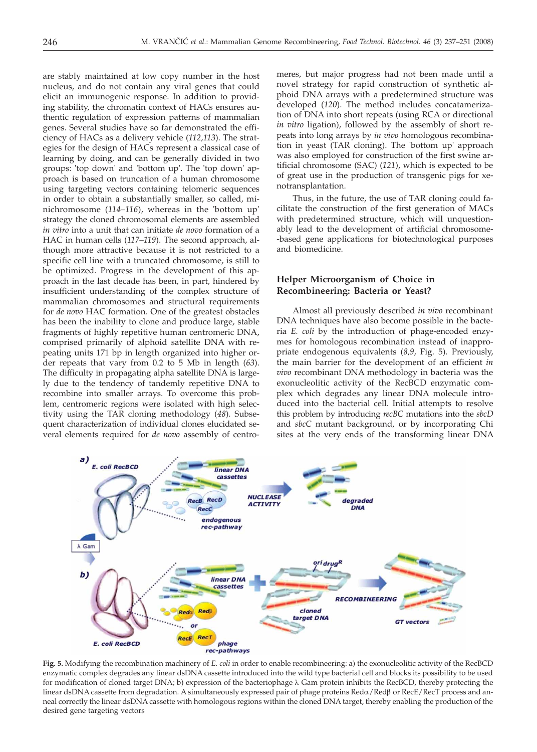are stably maintained at low copy number in the host nucleus, and do not contain any viral genes that could elicit an immunogenic response. In addition to providing stability, the chromatin context of HACs ensures authentic regulation of expression patterns of mammalian genes. Several studies have so far demonstrated the efficiency of HACs as a delivery vehicle (*112,113*). The strategies for the design of HACs represent a classical case of learning by doing, and can be generally divided in two groups: 'top down' and 'bottom up'. The 'top down' approach is based on truncation of a human chromosome using targeting vectors containing telomeric sequences in order to obtain a substantially smaller, so called, minichromosome (*114–116*), whereas in the 'bottom up' strategy the cloned chromosomal elements are assembled *in vitro* into a unit that can initiate *de novo* formation of a HAC in human cells (*117–119*). The second approach, although more attractive because it is not restricted to a specific cell line with a truncated chromosome, is still to be optimized. Progress in the development of this approach in the last decade has been, in part, hindered by insufficient understanding of the complex structure of mammalian chromosomes and structural requirements for *de novo* HAC formation. One of the greatest obstacles has been the inability to clone and produce large, stable fragments of highly repetitive human centromeric DNA, comprised primarily of alphoid satellite DNA with repeating units 171 bp in length organized into higher order repeats that vary from 0.2 to 5 Mb in length (*63*). The difficulty in propagating alpha satellite DNA is largely due to the tendency of tandemly repetitive DNA to recombine into smaller arrays. To overcome this problem, centromeric regions were isolated with high selectivity using the TAR cloning methodology (*48*). Subsequent characterization of individual clones elucidated several elements required for *de novo* assembly of centro-

meres, but major progress had not been made until a novel strategy for rapid construction of synthetic alphoid DNA arrays with a predetermined structure was developed (*120*). The method includes concatamerization of DNA into short repeats (using RCA or directional *in vitro* ligation), followed by the assembly of short repeats into long arrays by *in vivo* homologous recombination in yeast (TAR cloning). The 'bottom up' approach was also employed for construction of the first swine artificial chromosome (SAC) (*121*), which is expected to be of great use in the production of transgenic pigs for xenotransplantation.

Thus, in the future, the use of TAR cloning could facilitate the construction of the first generation of MACs with predetermined structure, which will unquestionably lead to the development of artificial chromosome- -based gene applications for biotechnological purposes and biomedicine.

## **Helper Microorganism of Choice in Recombineering: Bacteria or Yeast?**

Almost all previously described *in vivo* recombinant DNA techniques have also become possible in the bacteria *E. coli* by the introduction of phage-encoded enzymes for homologous recombination instead of inappropriate endogenous equivalents (*8,9*, Fig. 5). Previously, the main barrier for the development of an efficient *in vivo* recombinant DNA methodology in bacteria was the exonucleolitic activity of the RecBCD enzymatic complex which degrades any linear DNA molecule introduced into the bacterial cell. Initial attempts to resolve this problem by introducing *recBC* mutations into the *sbcD* and *sbcC* mutant background, or by incorporating Chi sites at the very ends of the transforming linear DNA



**Fig. 5.** Modifying the recombination machinery of *E. coli* in order to enable recombineering: a) the exonucleolitic activity of the RecBCD enzymatic complex degrades any linear dsDNA cassette introduced into the wild type bacterial cell and blocks its possibility to be used for modification of cloned target DNA; b) expression of the bacteriophage  $\lambda$  Gam protein inhibits the RecBCD, thereby protecting the linear dsDNA cassette from degradation. A simultaneously expressed pair of phage proteins Reda/Redß or RecE/RecT process and anneal correctly the linear dsDNA cassette with homologous regions within the cloned DNA target, thereby enabling the production of the desired gene targeting vectors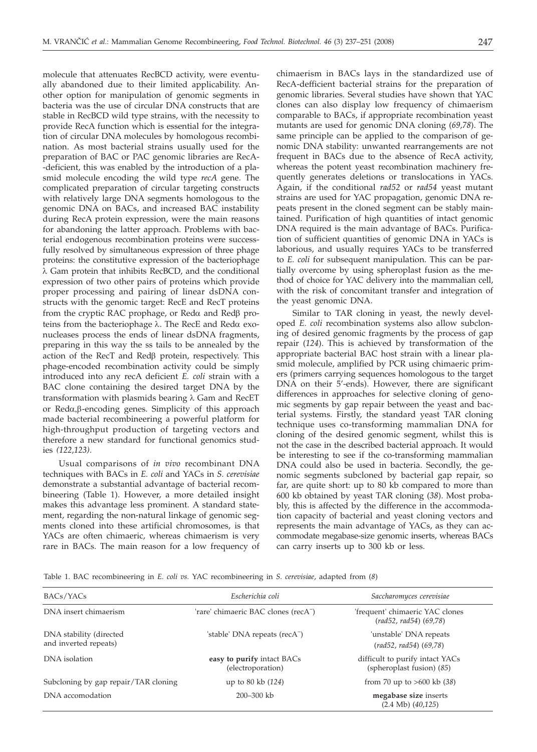molecule that attenuates RecBCD activity, were eventually abandoned due to their limited applicability. Another option for manipulation of genomic segments in bacteria was the use of circular DNA constructs that are stable in RecBCD wild type strains, with the necessity to provide RecA function which is essential for the integration of circular DNA molecules by homologous recombination. As most bacterial strains usually used for the preparation of BAC or PAC genomic libraries are RecA- -deficient, this was enabled by the introduction of a plasmid molecule encoding the wild type *recA* gene. The complicated preparation of circular targeting constructs with relatively large DNA segments homologous to the genomic DNA on BACs, and increased BAC instability during RecA protein expression, were the main reasons for abandoning the latter approach. Problems with bacterial endogenous recombination proteins were successfully resolved by simultaneous expression of three phage proteins: the constitutive expression of the bacteriophage  $\lambda$  Gam protein that inhibits RecBCD, and the conditional expression of two other pairs of proteins which provide proper processing and pairing of linear dsDNA constructs with the genomic target: RecE and RecT proteins from the cryptic RAC prophage, or Reda and Red $\beta$  proteins from the bacteriophage  $\lambda$ . The RecE and Reda exonucleases process the ends of linear dsDNA fragments, preparing in this way the ss tails to be annealed by the action of the RecT and Red $\beta$  protein, respectively. This phage-encoded recombination activity could be simply introduced into any recA deficient *E. coli* strain with a BAC clone containing the desired target DNA by the transformation with plasmids bearing  $\lambda$  Gam and RecET or  $Red\alpha, \beta$ -encoding genes. Simplicity of this approach made bacterial recombineering a powerful platform for high-throughput production of targeting vectors and therefore a new standard for functional genomics studies *(122,123)*.

Usual comparisons of *in vivo* recombinant DNA techniques with BACs in *E. coli* and YACs in *S. cerevisiae* demonstrate a substantial advantage of bacterial recombineering (Table 1). However, a more detailed insight makes this advantage less prominent. A standard statement, regarding the non-natural linkage of genomic segments cloned into these artificial chromosomes, is that YACs are often chimaeric, whereas chimaerism is very rare in BACs. The main reason for a low frequency of

chimaerism in BACs lays in the standardized use of RecA-defficient bacterial strains for the preparation of genomic libraries. Several studies have shown that YAC clones can also display low frequency of chimaerism comparable to BACs, if appropriate recombination yeast mutants are used for genomic DNA cloning (*69,78*). The same principle can be applied to the comparison of genomic DNA stability: unwanted rearrangements are not frequent in BACs due to the absence of RecA activity, whereas the potent yeast recombination machinery frequently generates deletions or translocations in YACs. Again, if the conditional *rad52* or *rad54* yeast mutant strains are used for YAC propagation, genomic DNA repeats present in the cloned segment can be stably maintained. Purification of high quantities of intact genomic DNA required is the main advantage of BACs. Purification of sufficient quantities of genomic DNA in YACs is laborious, and usually requires YACs to be transferred to *E. coli* for subsequent manipulation. This can be partially overcome by using spheroplast fusion as the method of choice for YAC delivery into the mammalian cell, with the risk of concomitant transfer and integration of the yeast genomic DNA.

Similar to TAR cloning in yeast, the newly developed *E. coli* recombination systems also allow subcloning of desired genomic fragments by the process of gap repair (*124*). This is achieved by transformation of the appropriate bacterial BAC host strain with a linear plasmid molecule, amplified by PCR using chimaeric primers (primers carrying sequences homologous to the target DNA on their 5'-ends). However, there are significant differences in approaches for selective cloning of genomic segments by gap repair between the yeast and bacterial systems. Firstly, the standard yeast TAR cloning technique uses co-transforming mammalian DNA for cloning of the desired genomic segment, whilst this is not the case in the described bacterial approach. It would be interesting to see if the co-transforming mammalian DNA could also be used in bacteria. Secondly, the genomic segments subcloned by bacterial gap repair, so far, are quite short: up to 80 kb compared to more than 600 kb obtained by yeast TAR cloning (*38*). Most probably, this is affected by the difference in the accommodation capacity of bacterial and yeast cloning vectors and represents the main advantage of YACs, as they can accommodate megabase-size genomic inserts, whereas BACs can carry inserts up to 300 kb or less.

Table 1. BAC recombineering in *E. coli vs.* YAC recombineering in *S. cerevisiae*, adapted from (*8*)

| BACs/YACs                                        | Escherichia coli                                 | Saccharomyces cerevisiae                                                   |
|--------------------------------------------------|--------------------------------------------------|----------------------------------------------------------------------------|
| DNA insert chimaerism                            | 'rare' chimaeric BAC clones (recA <sup>-</sup> ) | 'frequent' chimaeric YAC clones<br>$\text{(rad52, rad54)} \text{ (69,78)}$ |
| DNA stability (directed<br>and inverted repeats) | 'stable' DNA repeats (recA <sup>-</sup> )        | 'unstable' DNA repeats<br>$(rad52, rad54)$ $(69,78)$                       |
| DNA isolation                                    | easy to purify intact BACs<br>(electroporation)  | difficult to purify intact YACs<br>(spheroplast fusion) (85)               |
| Subcloning by gap repair/TAR cloning             | up to 80 kb (124)                                | from 70 up to $>600$ kb (38)                                               |
| DNA accomodation                                 | 200-300 kb                                       | megabase size inserts<br>$(2.4 \text{ Mb})$ $(40,125)$                     |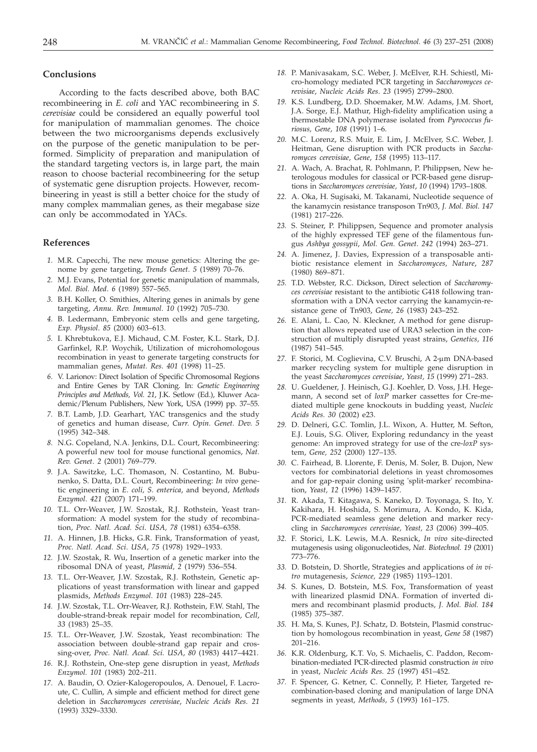#### **Conclusions**

According to the facts described above, both BAC recombineering in *E. coli* and YAC recombineering in *S. cerevisiae* could be considered an equally powerful tool for manipulation of mammalian genomes. The choice between the two microorganisms depends exclusively on the purpose of the genetic manipulation to be performed. Simplicity of preparation and manipulation of the standard targeting vectors is, in large part, the main reason to choose bacterial recombineering for the setup of systematic gene disruption projects. However, recombineering in yeast is still a better choice for the study of many complex mammalian genes, as their megabase size can only be accommodated in YACs.

#### **References**

- *1.* M.R. Capecchi, The new mouse genetics: Altering the genome by gene targeting, *Trends Genet*. *5* (1989) 70–76.
- *2.* M.J. Evans, Potential for genetic manipulation of mammals, *Mol. Biol. Med*. *6* (1989) 557–565.
- *3.* B.H. Koller, O. Smithies, Altering genes in animals by gene targeting, *Annu. Rev. Immunol*. *10* (1992) 705–730.
- *4.* B. Ledermann, Embryonic stem cells and gene targeting, *Exp. Physiol*. *85* (2000) 603–613.
- *5.* I. Khrebtukova, E.J. Michaud, C.M. Foster, K.L. Stark, D.J. Garfinkel, R.P. Woychik, Utilization of microhomologous recombination in yeast to generate targeting constructs for mammalian genes, *Mutat. Res*. *401* (1998) 11–25.
- *6.* V. Larionov: Direct Isolation of Specific Chromosomal Regions and Entire Genes by TAR Cloning. In: *Genetic Engineering Principles and Methods, Vol. 21*, J.K. Setlow (Ed.), Kluwer Academic/Plenum Publishers, New York, USA (1999) pp. 37–55.
- *7.* B.T. Lamb, J.D. Gearhart, YAC transgenics and the study of genetics and human disease, *Curr. Opin. Genet. Dev*. *5* (1995) 342–348.
- *8.* N.G. Copeland, N.A. Jenkins, D.L. Court, Recombineering: A powerful new tool for mouse functional genomics, *Nat. Rev. Genet*. *2* (2001) 769–779.
- *9.* J.A. Sawitzke, L.C. Thomason, N. Costantino, M. Bubunenko, S. Datta, D.L. Court, Recombineering: *In vivo* genetic engineering in *E. coli, S. enterica*, and beyond, *Methods Enzymol*. *421* (2007) 171–199.
- *10.* T.L. Orr-Weaver, J.W. Szostak, R.J. Rothstein, Yeast transformation: A model system for the study of recombination, *Proc. Natl. Acad. Sci*. *USA, 78* (1981) 6354–6358.
- *11.* A. Hinnen, J.B. Hicks, G.R. Fink, Transformation of yeast, *Proc. Natl. Acad. Sci*. *USA*, *75* (1978) 1929–1933.
- *12.* J.W. Szostak, R. Wu, Insertion of a genetic marker into the ribosomal DNA of yeast, *Plasmid, 2* (1979) 536–554.
- *13.* T.L. Orr-Weaver, J.W. Szostak, R.J. Rothstein, Genetic applications of yeast transformation with linear and gapped plasmids, *Methods Enzymol*. *101* (1983) 228–245.
- *14.* J.W. Szostak, T.L. Orr-Weaver, R.J. Rothstein, F.W. Stahl, The double-strand-break repair model for recombination, *Cell*, *33* (1983) 25–35.
- *15.* T.L. Orr-Weaver, J.W. Szostak, Yeast recombination: The association between double-strand gap repair and crossing-over, *Proc. Natl. Acad. Sci. USA*, *80* (1983) 4417–4421.
- *16.* R.J. Rothstein, One-step gene disruption in yeast, *Methods Enzymol. 101* (1983) 202–211.
- *17.* A. Baudin, O. Ozier-Kalogeropoulos, A. Denouel, F. Lacroute, C. Cullin, A simple and efficient method for direct gene deletion in *Saccharomyces cerevisiae*, *Nucleic Acids Res*. *21* (1993) 3329–3330.
- *18.* P. Manivasakam, S.C. Weber, J. McElver, R.H. Schiestl, Micro-homology mediated PCR targeting in *Saccharomyces cerevisiae*, *Nucleic Acids Res*. *23* (1995) 2799–2800.
- *19.* K.S. Lundberg, D.D. Shoemaker, M.W. Adams, J.M. Short, J.A. Sorge, E.J. Mathur, High-fidelity amplification using a thermostable DNA polymerase isolated from *Pyrococcus furiosus, Gene*, *108* (1991) 1–6.
- *20.* M.C. Lorenz, R.S. Muir, E. Lim, J. McElver, S.C. Weber, J. Heitman, Gene disruption with PCR products in *Saccharomyces cerevisiae, Gene*, *158* (1995) 113–117.
- *21.* A. Wach, A. Brachat, R. Pohlmann, P. Philippsen, New heterologous modules for classical or PCR-based gene disruptions in *Saccharomyces cerevisiae, Yeast*, *10* (1994) 1793–1808.
- *22.* A. Oka, H. Sugisaki, M. Takanami, Nucleotide sequence of the kanamycin resistance transposon Tn903, *J. Mol. Biol*. *147* (1981) 217–226.
- *23.* S. Steiner, P. Philippsen, Sequence and promoter analysis of the highly expressed TEF gene of the filamentous fungus *Ashbya gossypii*, *Mol. Gen. Genet*. *242* (1994) 263–271.
- *24.* A. Jimenez, J. Davies, Expression of a transposable antibiotic resistance element in *Saccharomyces, Nature*, *287* (1980) 869–871.
- *25.* T.D. Webster, R.C. Dickson, Direct selection of *Saccharomyces cerevisiae* resistant to the antibiotic G418 following transformation with a DNA vector carrying the kanamycin-resistance gene of Tn903, *Gene, 26* (1983) 243–252.
- *26.* E. Alani, L. Cao, N. Kleckner, A method for gene disruption that allows repeated use of URA3 selection in the construction of multiply disrupted yeast strains, *Genetics, 116* (1987) 541–545.
- 27. F. Storici, M. Coglievina, C.V. Bruschi, A 2-µm DNA-based marker recycling system for multiple gene disruption in the yeast *Saccharomyces cerevisiae*, *Yeast, 15* (1999) 271–283.
- *28.* U. Gueldener, J. Heinisch, G.J. Koehler, D. Voss, J.H. Hegemann, A second set of *loxP* marker cassettes for Cre-mediated multiple gene knockouts in budding yeast, *Nucleic Acids Res. 30* (2002) e23.
- *29.* D. Delneri, G.C. Tomlin, J.L. Wixon, A. Hutter, M. Sefton, E.J. Louis, S.G. Oliver, Exploring redundancy in the yeast genome: An improved strategy for use of the cre-*loxP* system, *Gene, 252* (2000) 127–135.
- *30.* C. Fairhead, B. Llorente, F. Denis, M. Soler, B. Dujon, New vectors for combinatorial deletions in yeast chromosomes and for gap-repair cloning using 'split-marker' recombination, *Yeast, 12* (1996) 1439–1457.
- *31.* R. Akada, T. Kitagawa, S. Kaneko, D. Toyonaga, S. Ito, Y. Kakihara, H. Hoshida, S. Morimura, A. Kondo, K. Kida, PCR-mediated seamless gene deletion and marker recycling in *Saccharomyces cerevisiae, Yeast, 23* (2006) 399–405.
- *32.* F. Storici, L.K. Lewis, M.A. Resnick, *In vivo* site-directed mutagenesis using oligonucleotides, *Nat. Biotechnol. 19* (2001) 773–776.
- *33.* D. Botstein, D. Shortle, Strategies and applications of *in vitro* mutagenesis, *Science, 229* (1985) 1193–1201.
- *34.* S. Kunes, D. Botstein, M.S. Fox, Transformation of yeast with linearized plasmid DNA. Formation of inverted dimers and recombinant plasmid products, *J. Mol. Biol. 184* (1985) 375–387.
- *35.* H. Ma, S. Kunes, P.J. Schatz, D. Botstein, Plasmid construction by homologous recombination in yeast, *Gene 58* (1987) 201–216.
- *36.* K.R. Oldenburg, K.T. Vo, S. Michaelis, C. Paddon, Recombination-mediated PCR-directed plasmid construction *in vivo* in yeast, *Nucleic Acids Res. 25* (1997) 451–452.
- *37.* F. Spencer, G. Ketner, C. Connelly, P. Hieter, Targeted recombination-based cloning and manipulation of large DNA segments in yeast, *Methods, 5* (1993) 161–175.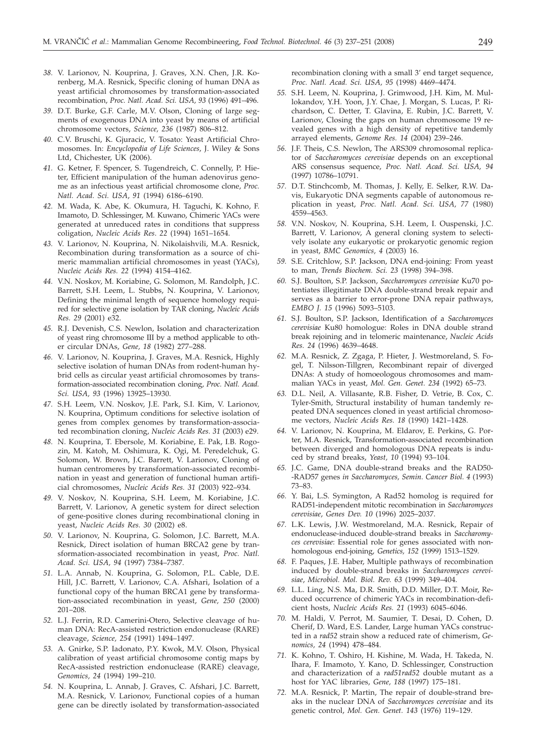- *38.* V. Larionov, N. Kouprina, J. Graves, X.N. Chen, J.R. Korenberg, M.A. Resnick, Specific cloning of human DNA as yeast artificial chromosomes by transformation-associated recombination, *Proc. Natl. Acad. Sci. USA, 93* (1996) 491–496.
- *39.* D.T. Burke, G.F. Carle, M.V. Olson, Cloning of large segments of exogenous DNA into yeast by means of artificial chromosome vectors, *Science, 236* (1987) 806–812.
- *40.* C.V. Bruschi, K. Gjuracic, V. Tosato: Yeast Artificial Chromosomes. In: *Encyclopedia of Life Sciences*, J. Wiley & Sons Ltd, Chichester, UK (2006).
- *41.* G. Ketner, F. Spencer, S. Tugendreich, C. Connelly, P. Hieter, Efficient manipulation of the human adenovirus genome as an infectious yeast artificial chromosome clone, *Proc. Natl. Acad. Sci. USA*, *91* (1994) 6186–6190.
- *42.* M. Wada, K. Abe, K. Okumura, H. Taguchi, K. Kohno, F. Imamoto, D. Schlessinger, M. Kuwano, Chimeric YACs were generated at unreduced rates in conditions that suppress coligation, *Nucleic Acids Res*. *22* (1994) 1651–1654.
- *43.* V. Larionov, N. Kouprina, N. Nikolaishvili, M.A. Resnick, Recombination during transformation as a source of chimeric mammalian artificial chromosomes in yeast (YACs), *Nucleic Acids Res. 22* (1994) 4154–4162.
- *44.* V.N. Noskov, M. Koriabine, G. Solomon, M. Randolph, J.C. Barrett, S.H. Leem, L. Stubbs, N. Kouprina, V. Larionov, Defining the minimal length of sequence homology required for selective gene isolation by TAR cloning, *Nucleic Acids Res. 29* (2001) e32.
- *45.* R.J. Devenish, C.S. Newlon, Isolation and characterization of yeast ring chromosome III by a method applicable to other circular DNAs, *Gene, 18* (1982) 277–288.
- *46.* V. Larionov, N. Kouprina, J. Graves, M.A. Resnick, Highly selective isolation of human DNAs from rodent-human hybrid cells as circular yeast artificial chromosomes by transformation-associated recombination cloning, *Proc. Natl. Acad. Sci. USA, 93* (1996) 13925–13930.
- *47.* S.H. Leem, V.N. Noskov, J.E. Park, S.I. Kim, V. Larionov, N. Kouprina, Optimum conditions for selective isolation of genes from complex genomes by transformation-associated recombination cloning, *Nucleic Acids Res. 31* (2003) e29.
- *48.* N. Kouprina, T. Ebersole, M. Koriabine, E. Pak, I.B. Rogozin, M. Katoh, M. Oshimura, K. Ogi, M. Peredelchuk, G. Solomon, W. Brown, J.C. Barrett, V. Larionov, Cloning of human centromeres by transformation-associated recombination in yeast and generation of functional human artificial chromosomes, *Nucleic Acids Res. 31* (2003) 922–934.
- *49.* V. Noskov, N. Kouprina, S.H. Leem, M. Koriabine, J.C. Barrett, V. Larionov, A genetic system for direct selection of gene-positive clones during recombinational cloning in yeast, *Nucleic Acids Res. 30* (2002) e8.
- *50.* V. Larionov, N. Kouprina, G. Solomon, J.C. Barrett, M.A. Resnick, Direct isolation of human BRCA2 gene by transformation-associated recombination in yeast, *Proc. Natl. Acad. Sci. USA, 94* (1997) 7384–7387.
- *51.* L.A. Annab, N. Kouprina, G. Solomon, P.L. Cable, D.E. Hill, J.C. Barrett, V. Larionov, C.A. Afshari, Isolation of a functional copy of the human BRCA1 gene by transformation-associated recombination in yeast, *Gene, 250* (2000) 201–208.
- *52.* L.J. Ferrin, R.D. Camerini-Otero, Selective cleavage of human DNA: RecA-assisted restriction endonuclease (RARE) cleavage, *Science, 254* (1991) 1494–1497.
- *53.* A. Gnirke, S.P. Iadonato, P.Y. Kwok, M.V. Olson, Physical calibration of yeast artificial chromosome contig maps by RecA-assisted restriction endonuclease (RARE) cleavage, *Genomics, 24* (1994) 199–210.
- *54.* N. Kouprina, L. Annab, J. Graves, C. Afshari, J.C. Barrett, M.A. Resnick, V. Larionov, Functional copies of a human gene can be directly isolated by transformation-associated

recombination cloning with a small 3' end target sequence, *Proc. Natl. Acad. Sci. USA, 95* (1998) 4469–4474.

- *55.* S.H. Leem, N. Kouprina, J. Grimwood, J.H. Kim, M. Mullokandov, Y.H. Yoon, J.Y. Chae, J. Morgan, S. Lucas, P. Richardson, C. Detter, T. Glavina, E. Rubin, J.C. Barrett, V. Larionov, Closing the gaps on human chromosome 19 revealed genes with a high density of repetitive tandemly arrayed elements, *Genome Res. 14* (2004) 239–246.
- *56.* J.F. Theis, C.S. Newlon, The ARS309 chromosomal replicator of *Saccharomyces cerevisiae* depends on an exceptional ARS consensus sequence, *Proc. Natl. Acad. Sci. USA, 94* (1997) 10786–10791.
- *57.* D.T. Stinchcomb, M. Thomas, J. Kelly, E. Selker, R.W. Davis, Eukaryotic DNA segments capable of autonomous replication in yeast, *Proc. Natl. Acad. Sci. USA, 77* (1980) 4559–4563.
- *58.* V.N. Noskov, N. Kouprina, S.H. Leem, I. Ouspenski, J.C. Barrett, V. Larionov, A general cloning system to selectively isolate any eukaryotic or prokaryotic genomic region in yeast, *BMC Genomics, 4* (2003) 16.
- *59.* S.E. Critchlow, S.P. Jackson, DNA end-joining: From yeast to man, *Trends Biochem. Sci. 23* (1998) 394–398.
- *60.* S.J. Boulton, S.P. Jackson, *Saccharomyces cerevisiae* Ku70 potentiates illegitimate DNA double-strand break repair and serves as a barrier to error-prone DNA repair pathways, *EMBO J. 15* (1996) 5093–5103.
- *61.* S.J. Boulton, S.P. Jackson, Identification of a *Saccharomyces cerevisiae* Ku80 homologue: Roles in DNA double strand break rejoining and in telomeric maintenance, *Nucleic Acids Res. 24* (1996) 4639–4648.
- *62.* M.A. Resnick, Z. Zgaga, P. Hieter, J. Westmoreland, S. Fogel, T. Nilsson-Tillgren, Recombinant repair of diverged DNAs: A study of homoeologous chromosomes and mammalian YACs in yeast*, Mol. Gen. Genet. 234* (1992) 65–73.
- *63.* D.L. Neil, A. Villasante, R.B. Fisher, D. Vetrie, B. Cox, C. Tyler-Smith, Structural instability of human tandemly repeated DNA sequences cloned in yeast artificial chromosome vectors*, Nucleic Acids Res. 18* (1990) 1421–1428.
- *64.* V. Larionov, N. Kouprina, M. Eldarov, E. Perkins, G. Porter, M.A. Resnick, Transformation-associated recombination between diverged and homologous DNA repeats is induced by strand breaks, *Yeast, 10* (1994) 93–104.
- *65.* J.C. Game, DNA double-strand breaks and the RAD50- -RAD57 genes *in Saccharomyces, Semin. Cancer Biol. 4* (1993) 73–83.
- *66.* Y. Bai, L.S. Symington, A Rad52 homolog is required for RAD51-independent mitotic recombination in *Saccharomyces cerevisiae*, *Genes Dev. 10* (1996) 2025–2037.
- *67.* L.K. Lewis, J.W. Westmoreland, M.A. Resnick, Repair of endonuclease-induced double-strand breaks in *Saccharomyces cerevisiae*: Essential role for genes associated with nonhomologous end-joining, *Genetics, 152* (1999) 1513–1529.
- *68.* F. Paques, J.E. Haber, Multiple pathways of recombination induced by double-strand breaks in *Saccharomyces cerevisiae*, *Microbiol. Mol. Biol. Rev. 63* (1999) 349–404.
- *69.* L.L. Ling, N.S. Ma, D.R. Smith, D.D. Miller, D.T. Moir, Reduced occurrence of chimeric YACs in recombination-deficient hosts, *Nucleic Acids Res. 21* (1993) 6045–6046.
- *70.* M. Haldi, V. Perrot, M. Saumier, T. Desai, D. Cohen, D. Cherif, D. Ward, E.S. Lander, Large human YACs constructed in a *rad52* strain show a reduced rate of chimerism, *Genomics, 24* (1994) 478–484.
- *71.* K. Kohno, T. Oshiro, H. Kishine, M. Wada, H. Takeda, N. Ihara, F. Imamoto, Y. Kano, D. Schlessinger, Construction and characterization of a *rad51rad52* double mutant as a host for YAC libraries, *Gene, 188* (1997) 175–181.
- *72.* M.A. Resnick, P. Martin, The repair of double-strand breaks in the nuclear DNA of *Saccharomyces cerevisiae* and its genetic control, *Mol. Gen. Genet. 143* (1976) 119–129.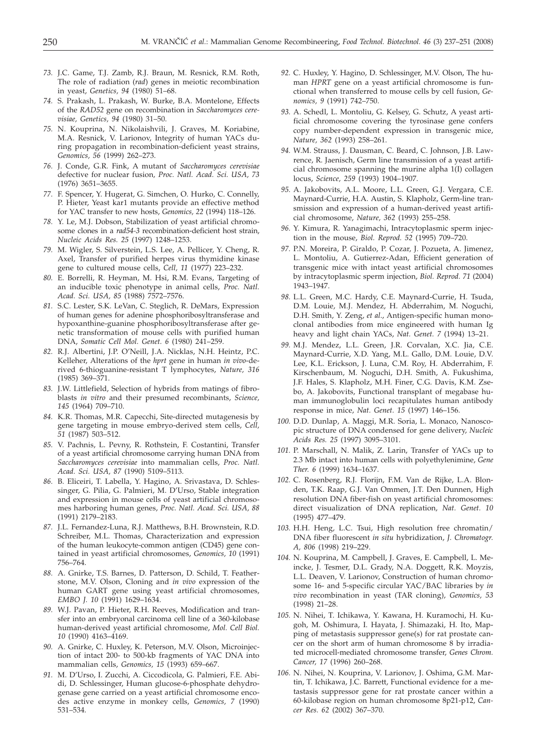- *73.* J.C. Game, T.J. Zamb, R.J. Braun, M. Resnick, R.M. Roth, The role of radiation (*rad*) genes in meiotic recombination in yeast, *Genetics, 94* (1980) 51–68.
- *74.* S. Prakash, L. Prakash, W. Burke, B.A. Montelone, Effects of the *RAD52* gene on recombination in *Saccharomyces cerevisiae, Genetics, 94* (1980) 31–50.
- *75.* N. Kouprina, N. Nikolaishvili, J. Graves, M. Koriabine, M.A. Resnick, V. Larionov, Integrity of human YACs during propagation in recombination-deficient yeast strains, *Genomics, 56* (1999) 262–273.
- *76.* J. Conde, G.R. Fink, A mutant of *Saccharomyces cerevisiae* defective for nuclear fusion*, Proc. Natl. Acad. Sci. USA, 73* (1976) 3651–3655.
- *77.* F. Spencer, Y. Hugerat, G. Simchen, O. Hurko, C. Connelly, P. Hieter, Yeast kar1 mutants provide an effective method for YAC transfer to new hosts, *Genomics, 22* (1994) 118–126.
- *78.* Y. Le, M.J. Dobson, Stabilization of yeast artificial chromosome clones in a *rad54-3* recombination-deficient host strain, *Nucleic Acids Res. 25* (1997) 1248–1253.
- *79.* M. Wigler, S. Silverstein, L.S. Lee, A. Pellicer, Y. Cheng, R. Axel, Transfer of purified herpes virus thymidine kinase gene to cultured mouse cells, *Cell, 11* (1977) 223–232.
- *80.* E. Borrelli, R. Heyman, M. Hsi, R.M. Evans, Targeting of an inducible toxic phenotype in animal cells, *Proc. Natl. Acad. Sci. USA, 85* (1988) 7572–7576.
- *81.* S.C. Lester, S.K. LeVan, C. Steglich, R. DeMars, Expression of human genes for adenine phosphoribosyltransferase and hypoxanthine-guanine phosphoribosyltransferase after genetic transformation of mouse cells with purified human DNA, *Somatic Cell Mol. Genet. 6* (1980) 241–259.
- *82.* R.J. Albertini, J.P. O'Neill, J.A. Nicklas, N.H. Heintz, P.C. Kelleher, Alterations of the *hprt* gene in human *in vivo*-derived 6-thioguanine-resistant T lymphocytes, *Nature, 316* (1985) 369–371.
- *83.* J.W. Littlefield, Selection of hybrids from matings of fibroblasts *in vitro* and their presumed recombinants, *Science, 145* (1964) 709–710.
- *84.* K.R. Thomas, M.R. Capecchi, Site-directed mutagenesis by gene targeting in mouse embryo-derived stem cells, *Cell, 51* (1987) 503–512.
- *85.* V. Pachnis, L. Pevny, R. Rothstein, F. Costantini, Transfer of a yeast artificial chromosome carrying human DNA from *Saccharomyces cerevisiae* into mammalian cells, *Proc. Natl. Acad. Sci. USA, 87* (1990) 5109–5113.
- *86.* B. Eliceiri, T. Labella, Y. Hagino, A. Srivastava, D. Schlessinger, G. Pilia, G. Palmieri, M. D'Urso, Stable integration and expression in mouse cells of yeast artificial chromosomes harboring human genes, *Proc. Natl. Acad. Sci. USA, 88* (1991) 2179–2183.
- *87.* J.L. Fernandez-Luna, R.J. Matthews, B.H. Brownstein, R.D. Schreiber, M.L. Thomas, Characterization and expression of the human leukocyte-common antigen (CD45) gene contained in yeast artificial chromosomes, *Genomics, 10* (1991) 756–764.
- *88.* A. Gnirke, T.S. Barnes, D. Patterson, D. Schild, T. Featherstone, M.V. Olson, Cloning and *in vivo* expression of the human GART gene using yeast artificial chromosomes, *EMBO J. 10* (1991) 1629–1634.
- *89.* W.J. Pavan, P. Hieter, R.H. Reeves, Modification and transfer into an embryonal carcinoma cell line of a 360-kilobase human-derived yeast artificial chromosome, *Mol. Cell Biol. 10* (1990) 4163–4169.
- *90.* A. Gnirke, C. Huxley, K. Peterson, M.V. Olson, Microinjection of intact 200- to 500-kb fragments of YAC DNA into mammalian cells, *Genomics, 15* (1993) 659–667.
- *91.* M. D'Urso, I. Zucchi, A. Ciccodicola, G. Palmieri, F.E. Abidi, D. Schlessinger, Human glucose-6-phosphate dehydrogenase gene carried on a yeast artificial chromosome encodes active enzyme in monkey cells, *Genomics, 7* (1990) 531–534.
- *92.* C. Huxley, Y. Hagino, D. Schlessinger, M.V. Olson, The human *HPRT* gene on a yeast artificial chromosome is functional when transferred to mouse cells by cell fusion, *Genomics, 9* (1991) 742–750.
- *93.* A. Schedl, L. Montoliu, G. Kelsey, G. Schutz, A yeast artificial chromosome covering the tyrosinase gene confers copy number-dependent expression in transgenic mice, *Nature, 362* (1993) 258–261.
- *94.* W.M. Strauss, J. Dausman, C. Beard, C. Johnson, J.B. Lawrence, R. Jaenisch, Germ line transmission of a yeast artificial chromosome spanning the murine alpha 1(I) collagen locus, *Science, 259* (1993) 1904–1907.
- *95.* A. Jakobovits, A.L. Moore, L.L. Green, G.J. Vergara, C.E. Maynard-Currie, H.A. Austin, S. Klapholz, Germ-line transmission and expression of a human-derived yeast artificial chromosome, *Nature, 362* (1993) 255–258.
- *96.* Y. Kimura, R. Yanagimachi, Intracytoplasmic sperm injection in the mouse, *Biol. Reprod. 52* (1995) 709–720.
- *97.* P.N. Moreira, P. Giraldo, P. Cozar, J. Pozueta, A. Jimenez, L. Montoliu, A. Gutierrez-Adan, Efficient generation of transgenic mice with intact yeast artificial chromosomes by intracytoplasmic sperm injection, *Biol. Reprod. 71* (2004) 1943–1947.
- *98.* L.L. Green, M.C. Hardy, C.E. Maynard-Currie, H. Tsuda, D.M. Louie, M.J. Mendez, H. Abderrahim, M. Noguchi, D.H. Smith, Y. Zeng, *et al*., Antigen-specific human monoclonal antibodies from mice engineered with human Ig heavy and light chain YACs, *Nat. Genet. 7* (1994) 13–21.
- *99.* M.J. Mendez, L.L. Green, J.R. Corvalan, X.C. Jia, C.E. Maynard-Currie, X.D. Yang, M.L. Gallo, D.M. Louie, D.V. Lee, K.L. Erickson, J. Luna, C.M. Roy, H. Abderrahim, F. Kirschenbaum, M. Noguchi, D.H. Smith, A. Fukushima, J.F. Hales, S. Klapholz, M.H. Finer, C.G. Davis, K.M. Zsebo, A. Jakobovits, Functional transplant of megabase human immunoglobulin loci recapitulates human antibody response in mice, *Nat. Genet. 15* (1997) 146–156.
- *100.* D.D. Dunlap, A. Maggi, M.R. Soria, L. Monaco, Nanoscopic structure of DNA condensed for gene delivery, *Nucleic Acids Res. 25* (1997) 3095–3101.
- *101.* P. Marschall, N. Malik, Z. Larin, Transfer of YACs up to 2.3 Mb intact into human cells with polyethylenimine, *Gene Ther. 6* (1999) 1634–1637.
- *102.* C. Rosenberg, R.J. Florijn, F.M. Van de Rijke, L.A. Blonden, T.K. Raap, G.J. Van Ommen, J.T. Den Dunnen, High resolution DNA fiber-fish on yeast artificial chromosomes: direct visualization of DNA replication, *Nat. Genet. 10* (1995) 477–479.
- *103.* H.H. Heng, L.C. Tsui, High resolution free chromatin/ DNA fiber fluorescent *in situ* hybridization, *J. Chromatogr. A, 806* (1998) 219–229.
- *104.* N. Kouprina, M. Campbell, J. Graves, E. Campbell, L. Meincke, J. Tesmer, D.L. Grady, N.A. Doggett, R.K. Moyzis, L.L. Deaven, V. Larionov, Construction of human chromosome 16- and 5-specific circular YAC/BAC libraries by *in vivo* recombination in yeast (TAR cloning), *Genomics, 53* (1998) 21–28.
- *105.* N. Nihei, T. Ichikawa, Y. Kawana, H. Kuramochi, H. Kugoh, M. Oshimura, I. Hayata, J. Shimazaki, H. Ito, Mapping of metastasis suppressor gene(s) for rat prostate cancer on the short arm of human chromosome 8 by irradiated microcell-mediated chromosome transfer, *Genes Chrom. Cancer, 17* (1996) 260–268.
- *106.* N. Nihei, N. Kouprina, V. Larionov, J. Oshima, G.M. Martin, T. Ichikawa, J.C. Barrett, Functional evidence for a metastasis suppressor gene for rat prostate cancer within a 60-kilobase region on human chromosome 8p21-p12, *Cancer Res. 62* (2002) 367–370.